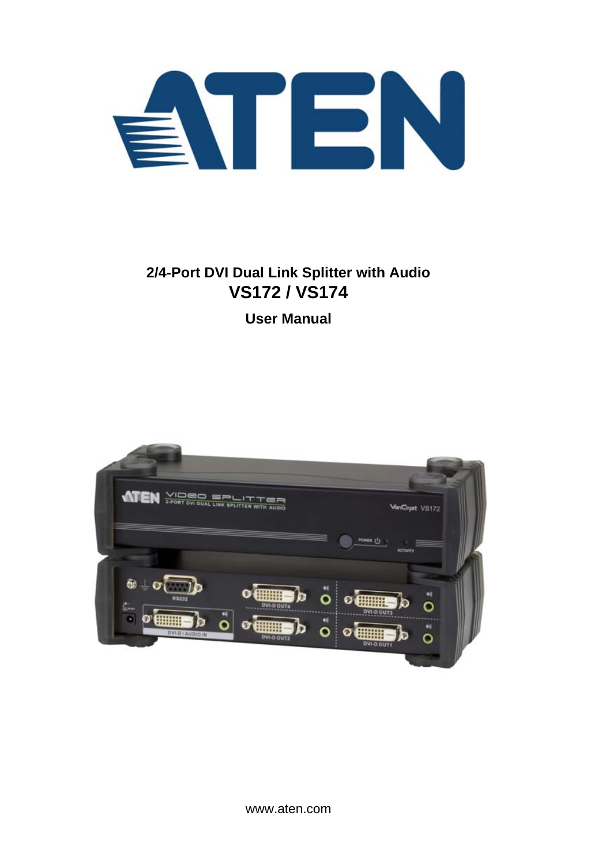

### **2/4-Port DVI Dual Link Splitter with Audio VS172 / VS174**

**User Manual**



www.aten.com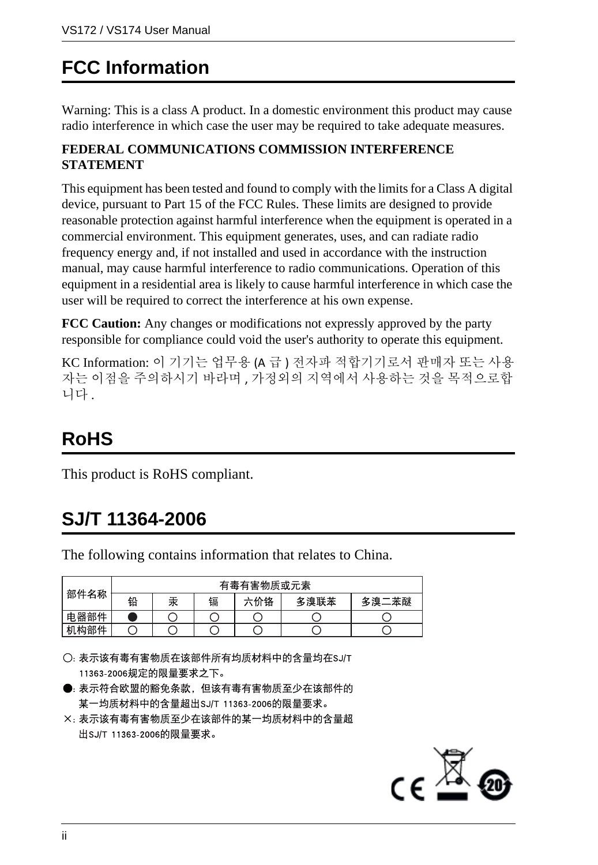# **FCC Information**

Warning: This is a class A product. In a domestic environment this product may cause radio interference in which case the user may be required to take adequate measures.

#### **FEDERAL COMMUNICATIONS COMMISSION INTERFERENCE STATEMENT**

This equipment has been tested and found to comply with the limits for a Class A digital device, pursuant to Part 15 of the FCC Rules. These limits are designed to provide reasonable protection against harmful interference when the equipment is operated in a commercial environment. This equipment generates, uses, and can radiate radio frequency energy and, if not installed and used in accordance with the instruction manual, may cause harmful interference to radio communications. Operation of this equipment in a residential area is likely to cause harmful interference in which case the user will be required to correct the interference at his own expense.

**FCC Caution:** Any changes or modifications not expressly approved by the party responsible for compliance could void the user's authority to operate this equipment.

KC Information: 이 기기는 업무용 (A 급 ) 전자파 적합기기로서 판매자 또는 사용 자는 이점을 주의하시기 바라며 , 가정외의 지역에서 사용하는 것을 목적으로합 니다 .

# **RoHS**

This product is RoHS compliant.

# **SJ/T 11364-2006**

The following contains information that relates to China.

|      | 有毒有害物质或元素 |   |   |     |      |            |
|------|-----------|---|---|-----|------|------------|
| 部件名称 | 铅         | 汞 | 镉 | 六价铬 | 多溴联苯 | 二苯醚<br>多溴二 |
| 电器部件 |           |   |   |     |      |            |
| 机构部件 |           |   |   |     |      |            |

○: 表示该有毒有害物质在该部件所有均质材料中的含量均在SJ/T 11363-2006规定的限量要求之下。

●: 表示符合欧盟的豁免条款,但该有毒有害物质至少在该部件的 某一均质材料中的含量超出SJ/T 11363-2006的限量要求。

X: 表示该有毒有害物质至少在该部件的某一均质材料中的含量超 出SJ/T 11363-2006的限量要求。

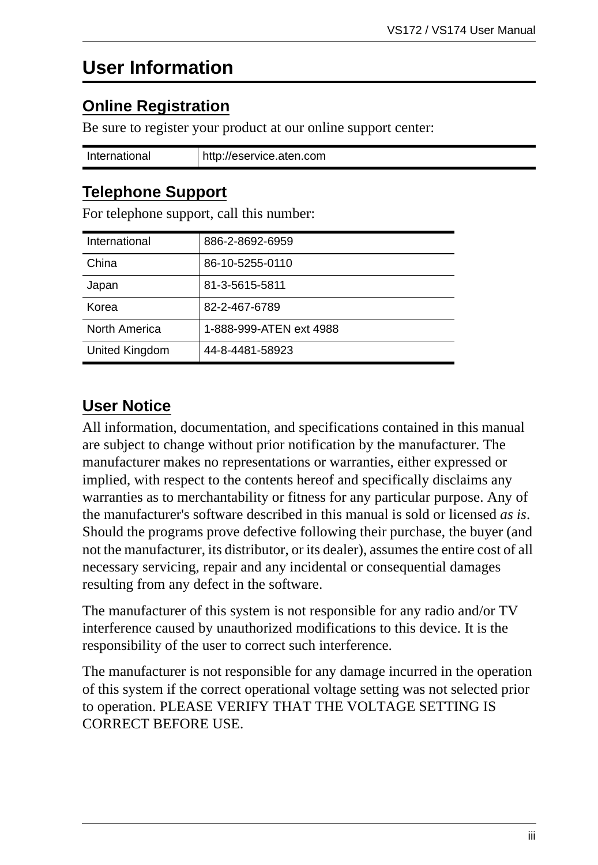## **User Information**

#### **Online Registration**

Be sure to register your product at our online support center:

#### <span id="page-2-0"></span>**Telephone Support**

International 886-2-8692-6959  $China$  86-10-5255-0110 Japan 81-3-5615-5811 Korea 82-2-467-6789 North America 1-888-999-ATEN ext 4988 United Kingdom 44-8-4481-58923

For telephone support, call this number:

### **User Notice**

All information, documentation, and specifications contained in this manual are subject to change without prior notification by the manufacturer. The manufacturer makes no representations or warranties, either expressed or implied, with respect to the contents hereof and specifically disclaims any warranties as to merchantability or fitness for any particular purpose. Any of the manufacturer's software described in this manual is sold or licensed *as is*. Should the programs prove defective following their purchase, the buyer (and not the manufacturer, its distributor, or its dealer), assumes the entire cost of all necessary servicing, repair and any incidental or consequential damages resulting from any defect in the software.

The manufacturer of this system is not responsible for any radio and/or TV interference caused by unauthorized modifications to this device. It is the responsibility of the user to correct such interference.

The manufacturer is not responsible for any damage incurred in the operation of this system if the correct operational voltage setting was not selected prior to operation. PLEASE VERIFY THAT THE VOLTAGE SETTING IS CORRECT BEFORE USE.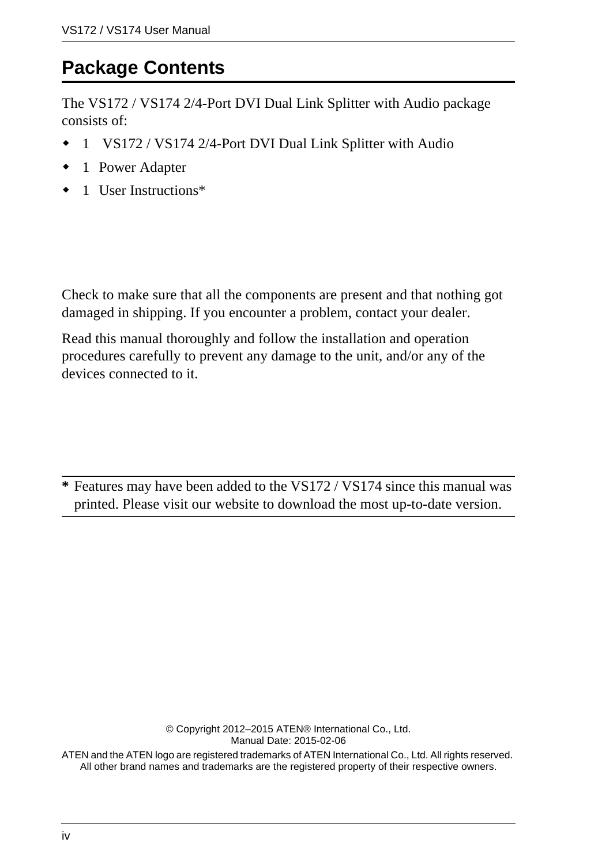### **Package Contents**

The VS172 / VS174 2/4-Port DVI Dual Link Splitter with Audio package consists of:

- 1 VS172 / VS174 2/4-Port DVI Dual Link Splitter with Audio
- 1 Power Adapter
- ◆ 1 User Instructions\*

Check to make sure that all the components are present and that nothing got damaged in shipping. If you encounter a problem, contact your dealer.

Read this manual thoroughly and follow the installation and operation procedures carefully to prevent any damage to the unit, and/or any of the devices connected to it.

**\*** Features may have been added to the VS172 / VS174 since this manual was printed. Please visit our website to download the most up-to-date version.

> © Copyright 2012–2015 ATEN® International Co., Ltd. Manual Date: 2015-02-06

ATEN and the ATEN logo are registered trademarks of ATEN International Co., Ltd. All rights reserved. All other brand names and trademarks are the registered property of their respective owners.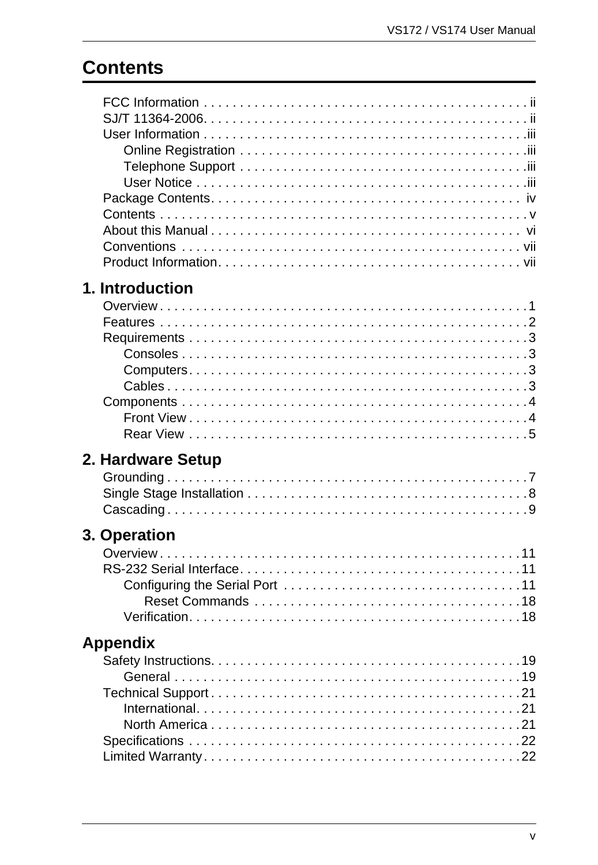# **Contents**

| $\text{Cascading} \dots \dots \dots \dots \dots \dots \dots \dots \dots \dots \dots \dots \dots \dots \dots \dots \dots$ |
|--------------------------------------------------------------------------------------------------------------------------|
|                                                                                                                          |
|                                                                                                                          |
|                                                                                                                          |
|                                                                                                                          |
|                                                                                                                          |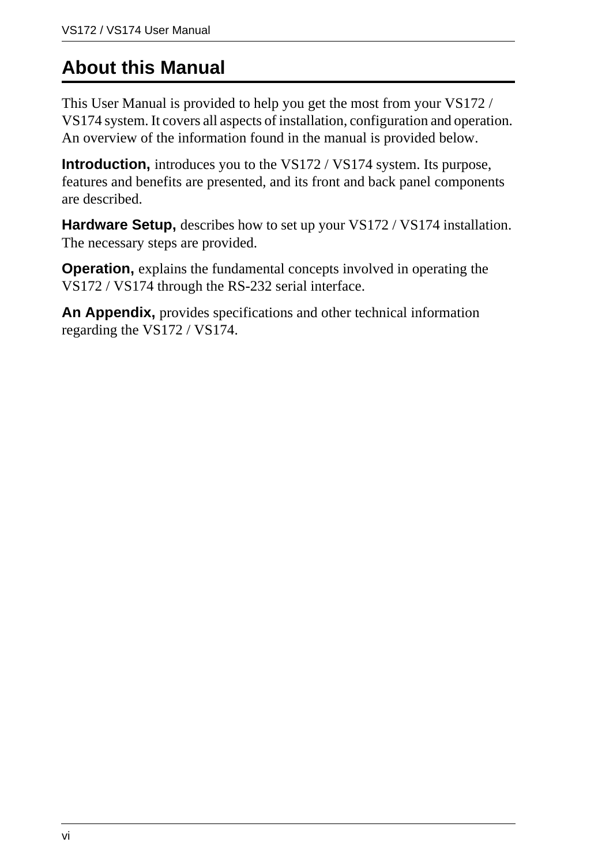# **About this Manual**

This User Manual is provided to help you get the most from your VS172 / VS174 system. It covers all aspects of installation, configuration and operation. An overview of the information found in the manual is provided below.

**Introduction,** introduces you to the VS172 / VS174 system. Its purpose, features and benefits are presented, and its front and back panel components are described.

Hardware Setup, describes how to set up your VS172 / VS174 installation. The necessary steps are provided.

**Operation,** explains the fundamental concepts involved in operating the VS172 / VS174 through the RS-232 serial interface.

**An Appendix,** provides specifications and other technical information regarding the VS172 / VS174.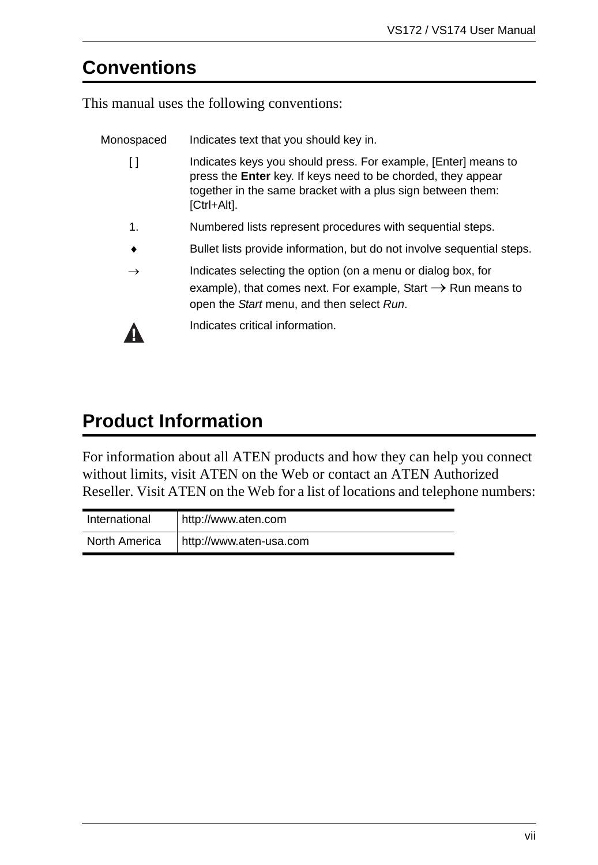# **Conventions**

This manual uses the following conventions:

| Monospaced    | Indicates text that you should key in.                                                                                                                                                                              |
|---------------|---------------------------------------------------------------------------------------------------------------------------------------------------------------------------------------------------------------------|
| H             | Indicates keys you should press. For example, [Enter] means to<br>press the <b>Enter</b> key. If keys need to be chorded, they appear<br>together in the same bracket with a plus sign between them:<br>[Ctrl+Alt]. |
| 1.            | Numbered lists represent procedures with sequential steps.                                                                                                                                                          |
| ٠             | Bullet lists provide information, but do not involve sequential steps.                                                                                                                                              |
| $\rightarrow$ | Indicates selecting the option (on a menu or dialog box, for<br>example), that comes next. For example, Start $\rightarrow$ Run means to<br>open the <i>Start</i> menu, and then select Run.                        |
|               | Indicates critical information.                                                                                                                                                                                     |

### **Product Information**

For information about all ATEN products and how they can help you connect without limits, visit ATEN on the Web or contact an ATEN Authorized Reseller. Visit ATEN on the Web for a list of locations and telephone numbers:

| International | http://www.aten.com     |
|---------------|-------------------------|
| North America | http://www.aten-usa.com |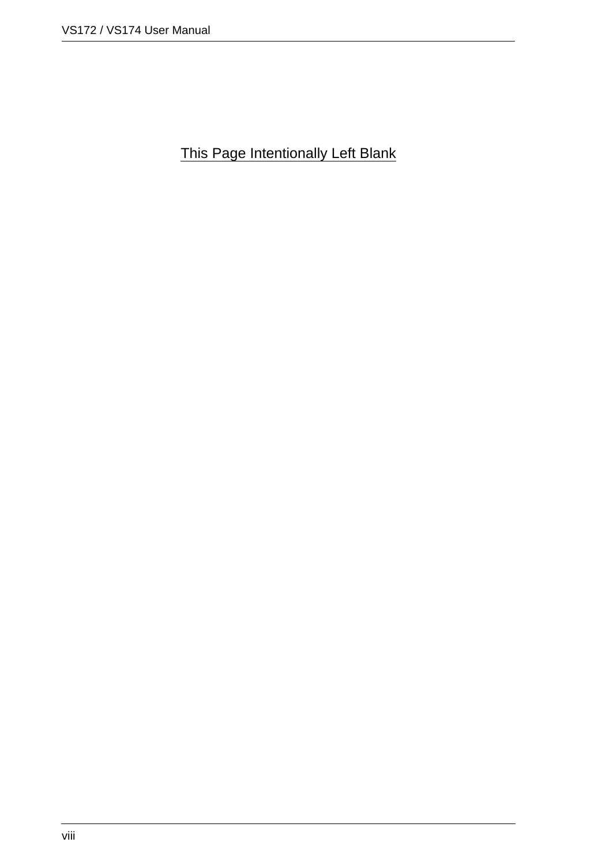#### This Page Intentionally Left Blank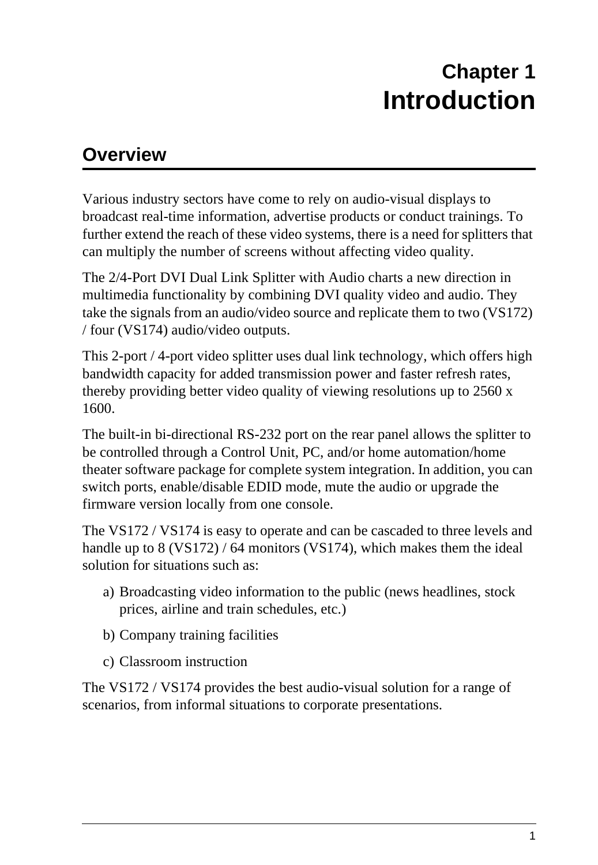# **Chapter 1 Introduction**

### **Overview**

Various industry sectors have come to rely on audio-visual displays to broadcast real-time information, advertise products or conduct trainings. To further extend the reach of these video systems, there is a need for splitters that can multiply the number of screens without affecting video quality.

The 2/4-Port DVI Dual Link Splitter with Audio charts a new direction in multimedia functionality by combining DVI quality video and audio. They take the signals from an audio/video source and replicate them to two (VS172) / four (VS174) audio/video outputs.

This 2-port / 4-port video splitter uses dual link technology, which offers high bandwidth capacity for added transmission power and faster refresh rates, thereby providing better video quality of viewing resolutions up to 2560 x 1600.

The built-in bi-directional RS-232 port on the rear panel allows the splitter to be controlled through a Control Unit, PC, and/or home automation/home theater software package for complete system integration. In addition, you can switch ports, enable/disable EDID mode, mute the audio or upgrade the firmware version locally from one console.

The VS172 / VS174 is easy to operate and can be cascaded to three levels and handle up to 8 (VS172) / 64 monitors (VS174), which makes them the ideal solution for situations such as:

- a) Broadcasting video information to the public (news headlines, stock prices, airline and train schedules, etc.)
- b) Company training facilities
- c) Classroom instruction

The VS172 / VS174 provides the best audio-visual solution for a range of scenarios, from informal situations to corporate presentations.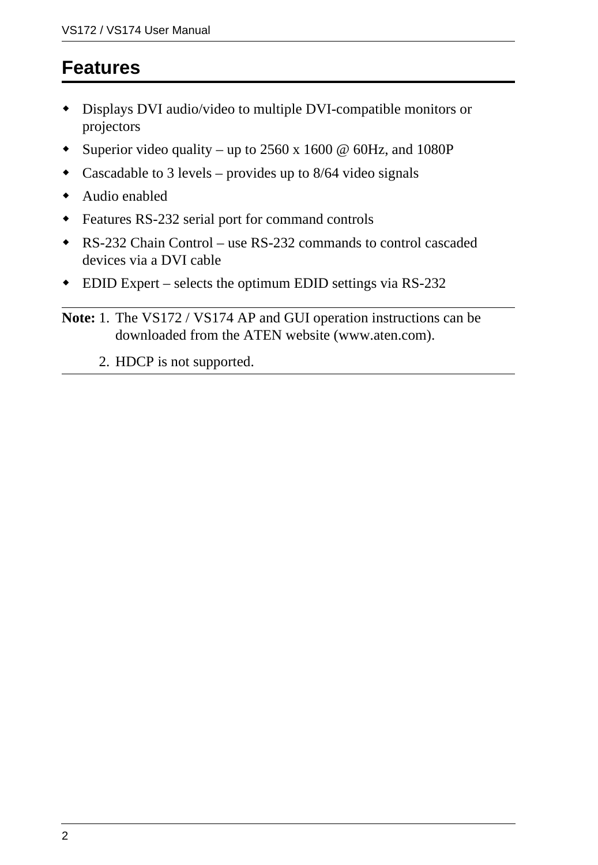### **Features**

- Displays DVI audio/video to multiple DVI-compatible monitors or projectors
- Superior video quality up to 2560 x 1600  $\omega$  60Hz, and 1080P
- Cascadable to 3 levels provides up to  $8/64$  video signals
- Audio enabled
- Features RS-232 serial port for command controls
- RS-232 Chain Control use RS-232 commands to control cascaded devices via a DVI cable
- EDID Expert selects the optimum EDID settings via RS-232

**Note:** 1. The VS172 / VS174 AP and GUI operation instructions can be downloaded from the ATEN website (www.aten.com).

2. HDCP is not supported.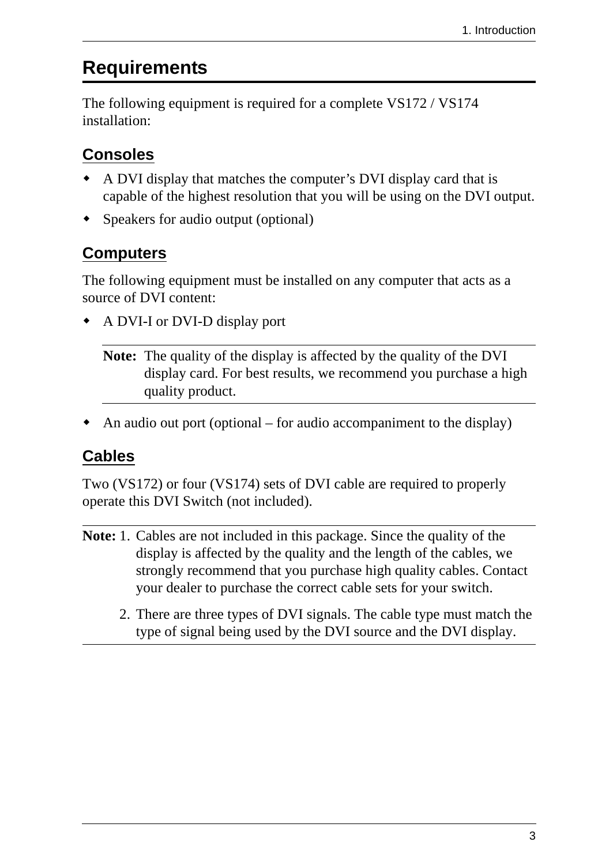### **Requirements**

The following equipment is required for a complete VS172 / VS174 installation:

### **Consoles**

- A DVI display that matches the computer's DVI display card that is capable of the highest resolution that you will be using on the DVI output.
- Speakers for audio output (optional)

### **Computers**

The following equipment must be installed on any computer that acts as a source of DVI content:

A DVI-I or DVI-D display port

An audio out port (optional – for audio accompaniment to the display)

### **Cables**

Two (VS172) or four (VS174) sets of DVI cable are required to properly operate this DVI Switch (not included).

- **Note:** 1. Cables are not included in this package. Since the quality of the display is affected by the quality and the length of the cables, we strongly recommend that you purchase high quality cables. Contact your dealer to purchase the correct cable sets for your switch.
	- 2. There are three types of DVI signals. The cable type must match the type of signal being used by the DVI source and the DVI display.

**Note:** The quality of the display is affected by the quality of the DVI display card. For best results, we recommend you purchase a high quality product.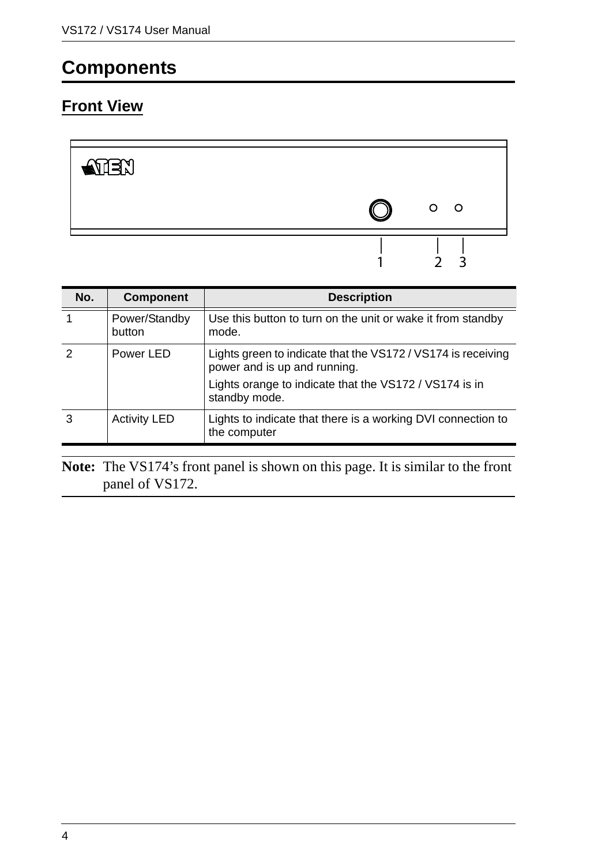## **Components**

### **Front View**



| No.           | <b>Component</b>        | <b>Description</b>                                                                           |
|---------------|-------------------------|----------------------------------------------------------------------------------------------|
|               | Power/Standby<br>button | Use this button to turn on the unit or wake it from standby<br>mode.                         |
| $\mathcal{P}$ | Power LED               | Lights green to indicate that the VS172 / VS174 is receiving<br>power and is up and running. |
|               |                         | Lights orange to indicate that the VS172 / VS174 is in<br>standby mode.                      |
| 3             | <b>Activity LED</b>     | Lights to indicate that there is a working DVI connection to<br>the computer                 |

**Note:** The VS174's front panel is shown on this page. It is similar to the front panel of VS172.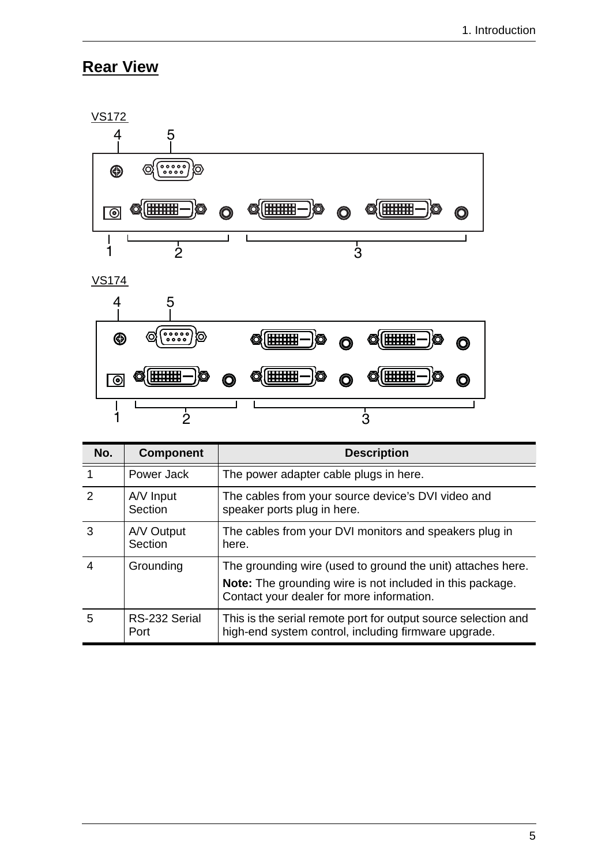### **Rear View**





| No.           | <b>Component</b>      | <b>Description</b>                                                                                                                                                    |
|---------------|-----------------------|-----------------------------------------------------------------------------------------------------------------------------------------------------------------------|
| $\mathbf{1}$  | Power Jack            | The power adapter cable plugs in here.                                                                                                                                |
| $\mathcal{P}$ | A/V Input<br>Section  | The cables from your source device's DVI video and<br>speaker ports plug in here.                                                                                     |
| 3             | A/V Output<br>Section | The cables from your DVI monitors and speakers plug in<br>here.                                                                                                       |
| 4             | Groundina             | The grounding wire (used to ground the unit) attaches here.<br>Note: The grounding wire is not included in this package.<br>Contact your dealer for more information. |
| 5             | RS-232 Serial<br>Port | This is the serial remote port for output source selection and<br>high-end system control, including firmware upgrade.                                                |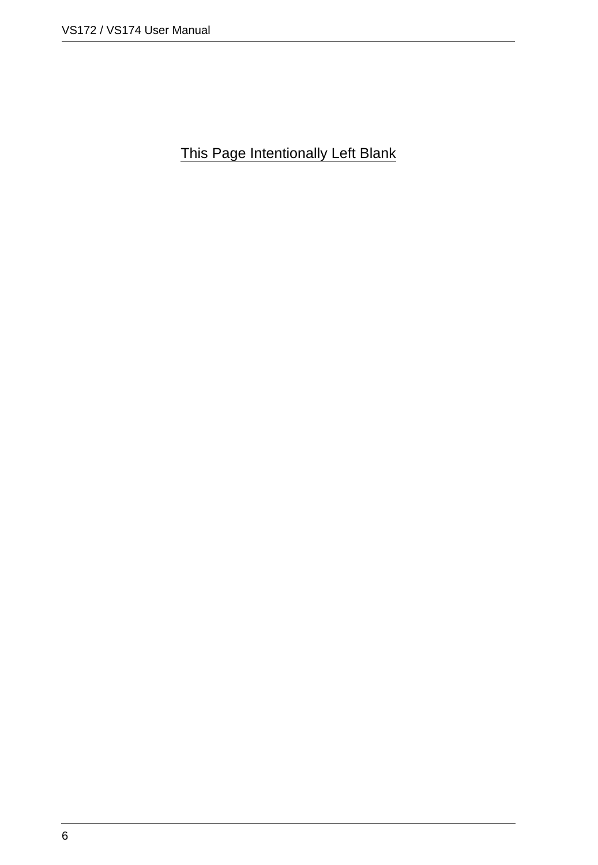This Page Intentionally Left Blank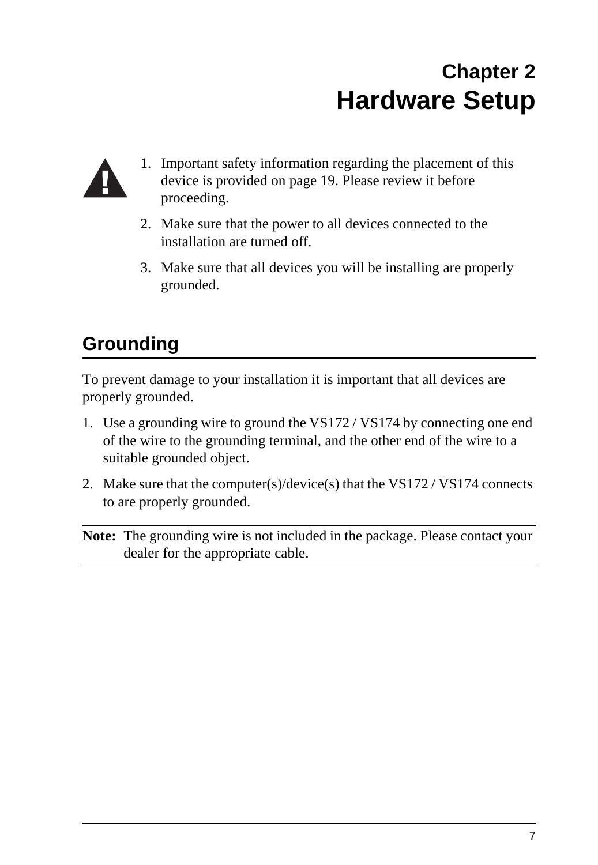# **Chapter 2 Hardware Setup**



- 1. Important safety information regarding the placement of this device is provided on [page 19](#page-27-0). Please review it before proceeding.
- 2. Make sure that the power to all devices connected to the installation are turned off.
- 3. Make sure that all devices you will be installing are properly grounded.

# **Grounding**

To prevent damage to your installation it is important that all devices are properly grounded.

- 1. Use a grounding wire to ground the VS172 / VS174 by connecting one end of the wire to the grounding terminal, and the other end of the wire to a suitable grounded object.
- 2. Make sure that the computer(s)/device(s) that the VS172 / VS174 connects to are properly grounded.

**Note:** The grounding wire is not included in the package. Please contact your dealer for the appropriate cable.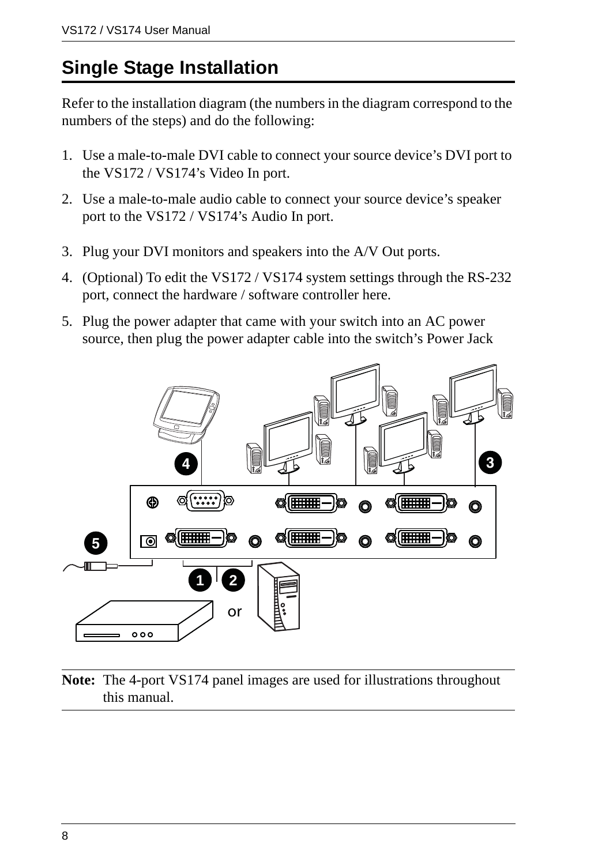# **Single Stage Installation**

Refer to the installation diagram (the numbers in the diagram correspond to the numbers of the steps) and do the following:

- 1. Use a male-to-male DVI cable to connect your source device's DVI port to the VS172 / VS174's Video In port.
- 2. Use a male-to-male audio cable to connect your source device's speaker port to the VS172 / VS174's Audio In port.
- 3. Plug your DVI monitors and speakers into the A/V Out ports.
- 4. (Optional) To edit the VS172 / VS174 system settings through the RS-232 port, connect the hardware / software controller here.
- 5. Plug the power adapter that came with your switch into an AC power source, then plug the power adapter cable into the switch's Power Jack



**Note:** The 4-port VS174 panel images are used for illustrations throughout this manual.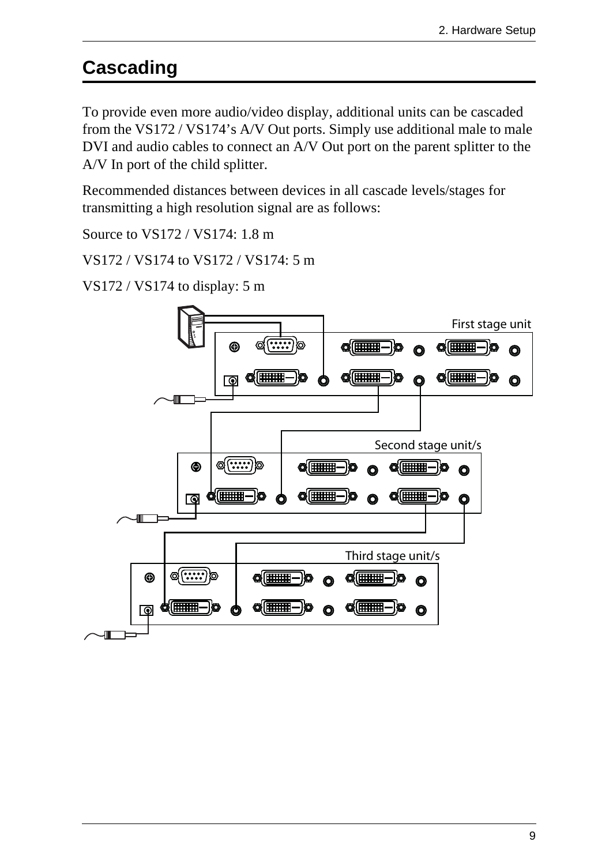## **Cascading**

To provide even more audio/video display, additional units can be cascaded from the VS172 / VS174's A/V Out ports. Simply use additional male to male DVI and audio cables to connect an A/V Out port on the parent splitter to the A/V In port of the child splitter.

Recommended distances between devices in all cascade levels/stages for transmitting a high resolution signal are as follows:

Source to VS172 / VS174: 1.8 m

VS172 / VS174 to VS172 / VS174: 5 m

VS172 / VS174 to display: 5 m

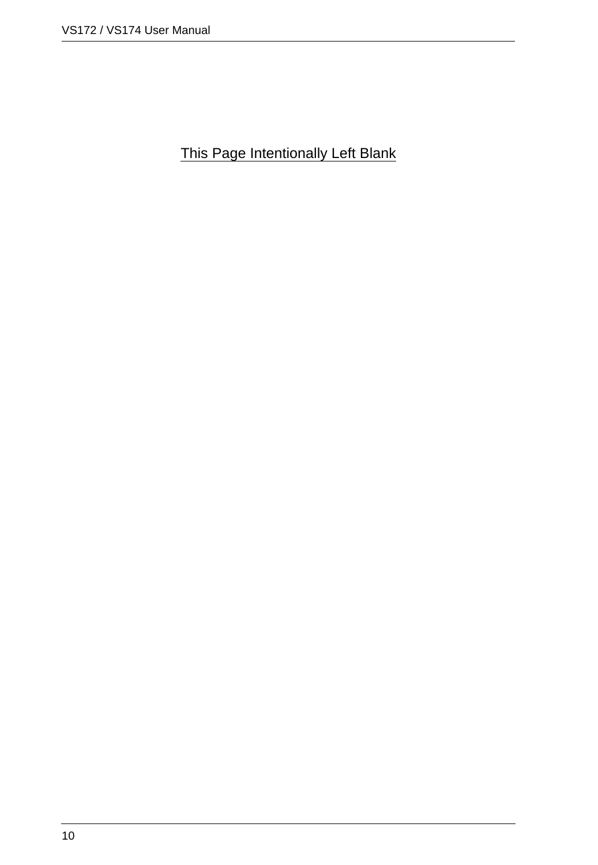This Page Intentionally Left Blank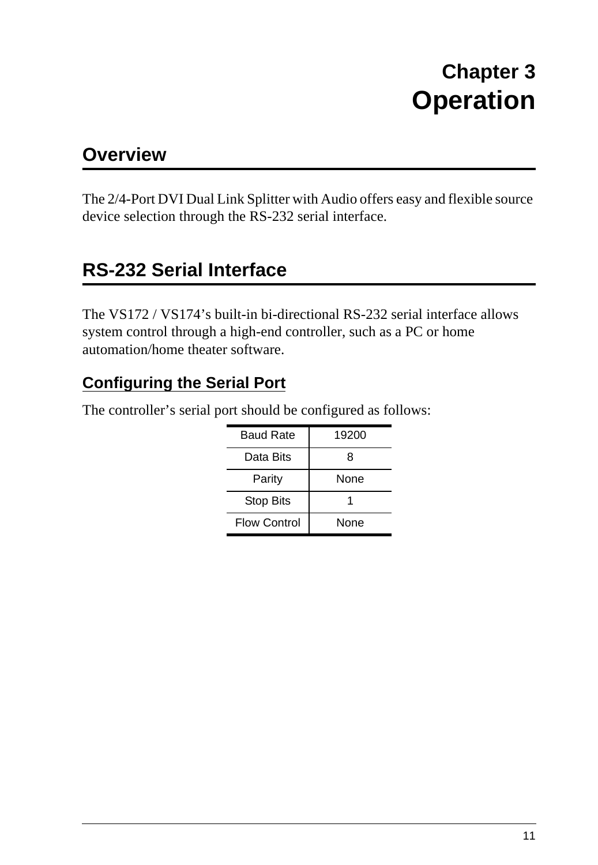# **Chapter 3 Operation**

### **Overview**

The 2/4-Port DVI Dual Link Splitter with Audio offers easy and flexible source device selection through the RS-232 serial interface.

# **RS-232 Serial Interface**

The VS172 / VS174's built-in bi-directional RS-232 serial interface allows system control through a high-end controller, such as a PC or home automation/home theater software.

### **Configuring the Serial Port**

The controller's serial port should be configured as follows:

| <b>Baud Rate</b>    | 19200 |
|---------------------|-------|
| Data Bits           | 8     |
| Parity              | None  |
| <b>Stop Bits</b>    |       |
| <b>Flow Control</b> | None  |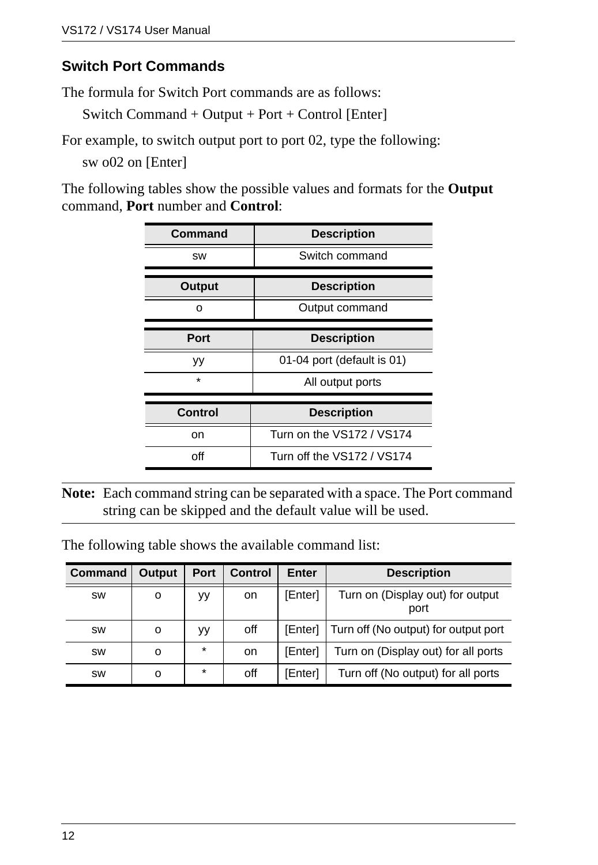#### **Switch Port Commands**

The formula for Switch Port commands are as follows:

Switch Command + Output + Port + Control [Enter]

For example, to switch output port to port 02, type the following:

sw o02 on [Enter]

The following tables show the possible values and formats for the **Output** command, **Port** number and **Control**:

| Command | <b>Description</b>         |
|---------|----------------------------|
| SW      | Switch command             |
|         |                            |
| Output  | <b>Description</b>         |
| ი       | Output command             |
|         |                            |
| Port    | <b>Description</b>         |
| уу      | 01-04 port (default is 01) |
| ÷       | All output ports           |
|         |                            |
| Control | <b>Description</b>         |
| on      | Turn on the VS172 / VS174  |
| off     | Turn off the VS172 / VS174 |

**Note:** Each command string can be separated with a space. The Port command string can be skipped and the default value will be used.

| Command | Output | <b>Port</b> | Control | Enter          | <b>Description</b>                       |
|---------|--------|-------------|---------|----------------|------------------------------------------|
| SW      | o      | yу          | on      | <b>[Enter]</b> | Turn on (Display out) for output<br>port |
| SW      | O      | yу          | off     | <b>IEnterl</b> | Turn off (No output) for output port     |
| SW      | O      | $\star$     | on      | <b>[Enter]</b> | Turn on (Display out) for all ports      |
| SW      | O      | $\star$     | off     | <b>Enterl</b>  | Turn off (No output) for all ports       |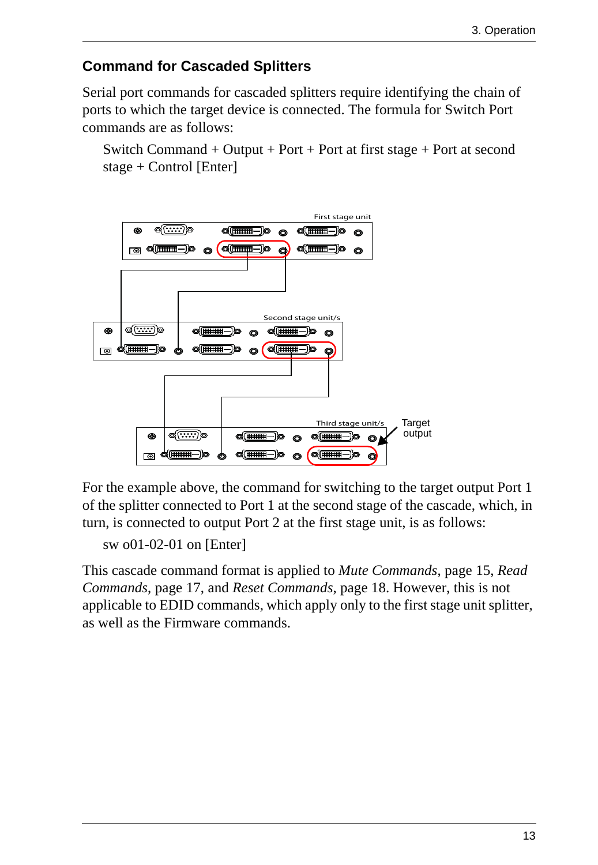#### **Command for Cascaded Splitters**

Serial port commands for cascaded splitters require identifying the chain of ports to which the target device is connected. The formula for Switch Port commands are as follows:

Switch Command + Output + Port + Port at first stage + Port at second stage + Control [Enter]



For the example above, the command for switching to the target output Port 1 of the splitter connected to Port 1 at the second stage of the cascade, which, in turn, is connected to output Port 2 at the first stage unit, is as follows:

```
sw o01-02-01 on [Enter]
```
This cascade command format is applied to *Mute Commands*, page 15, *Read Commands*, page 17, and *[Reset Commands](#page-26-0)*, page 18. However, this is not applicable to EDID commands, which apply only to the first stage unit splitter, as well as the Firmware commands.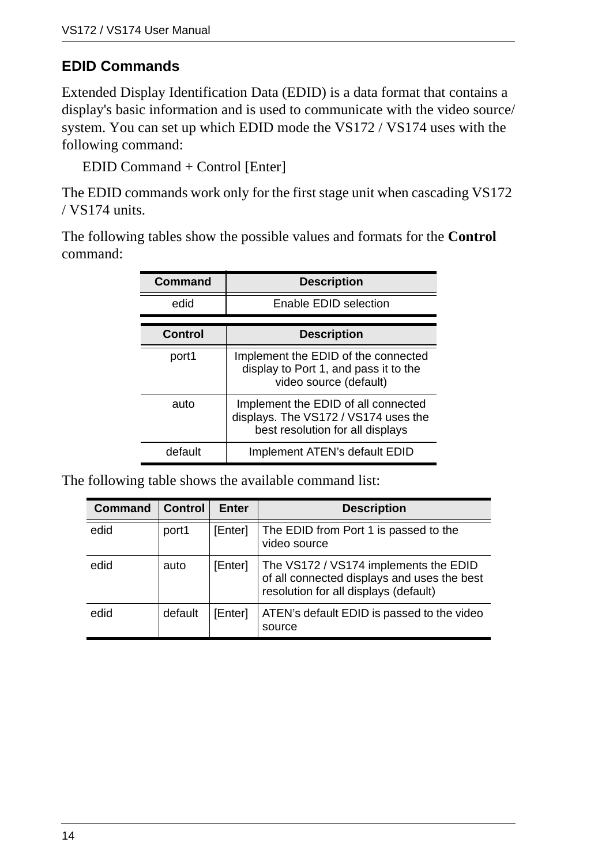#### **EDID Commands**

Extended Display Identification Data (EDID) is a data format that contains a display's basic information and is used to communicate with the video source/ system. You can set up which EDID mode the VS172 / VS174 uses with the following command:

EDID Command + Control [Enter]

The EDID commands work only for the first stage unit when cascading VS172 / VS174 units.

The following tables show the possible values and formats for the **Control** command:

| Command | <b>Description</b>                                                                                              |
|---------|-----------------------------------------------------------------------------------------------------------------|
| edid    | Enable EDID selection                                                                                           |
| Control | <b>Description</b>                                                                                              |
| port1   | Implement the EDID of the connected<br>display to Port 1, and pass it to the<br>video source (default)          |
| auto    | Implement the EDID of all connected<br>displays. The VS172 / VS174 uses the<br>best resolution for all displays |
| default | Implement ATEN's default EDID                                                                                   |

| <b>Command</b> | Control | Enter   | <b>Description</b>                                                                                                            |
|----------------|---------|---------|-------------------------------------------------------------------------------------------------------------------------------|
| edid           | port1   | [Enter] | The EDID from Port 1 is passed to the<br>video source                                                                         |
| edid           | auto    | [Enter] | The VS172 / VS174 implements the EDID<br>of all connected displays and uses the best<br>resolution for all displays (default) |
| edid           | default | [Enter] | ATEN's default EDID is passed to the video<br>source                                                                          |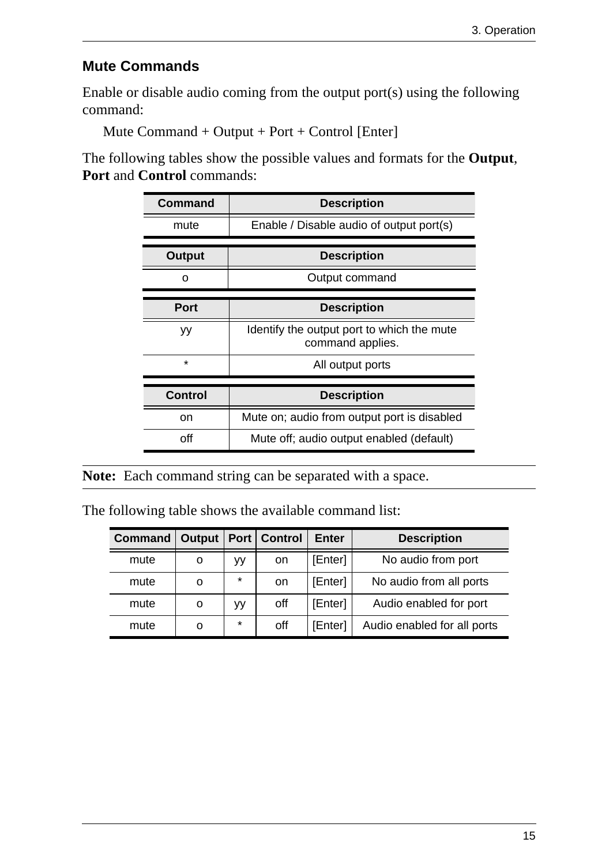#### **Mute Commands**

Enable or disable audio coming from the output port(s) using the following command:

Mute Command + Output + Port + Control [Enter]

The following tables show the possible values and formats for the **Output**, **Port** and **Control** commands:

| Command | <b>Description</b>                                             |
|---------|----------------------------------------------------------------|
| mute    | Enable / Disable audio of output port(s)                       |
| Output  | <b>Description</b>                                             |
| n       | Output command                                                 |
|         |                                                                |
| Port    | <b>Description</b>                                             |
| yу      | Identify the output port to which the mute<br>command applies. |
| $\star$ | All output ports                                               |
|         |                                                                |
| Control | <b>Description</b>                                             |
| on      | Mute on; audio from output port is disabled                    |
| off     | Mute off; audio output enabled (default)                       |

**Note:** Each command string can be separated with a space.

| Command |   |         | Output   Port   Control | Enter   | <b>Description</b>          |
|---------|---|---------|-------------------------|---------|-----------------------------|
| mute    | o | yу      | on                      | [Enter] | No audio from port          |
| mute    | o | $\star$ | on                      | [Enter] | No audio from all ports     |
| mute    | о | yу      | off                     | [Enter] | Audio enabled for port      |
| mute    | O | $\star$ | off                     | [Enter] | Audio enabled for all ports |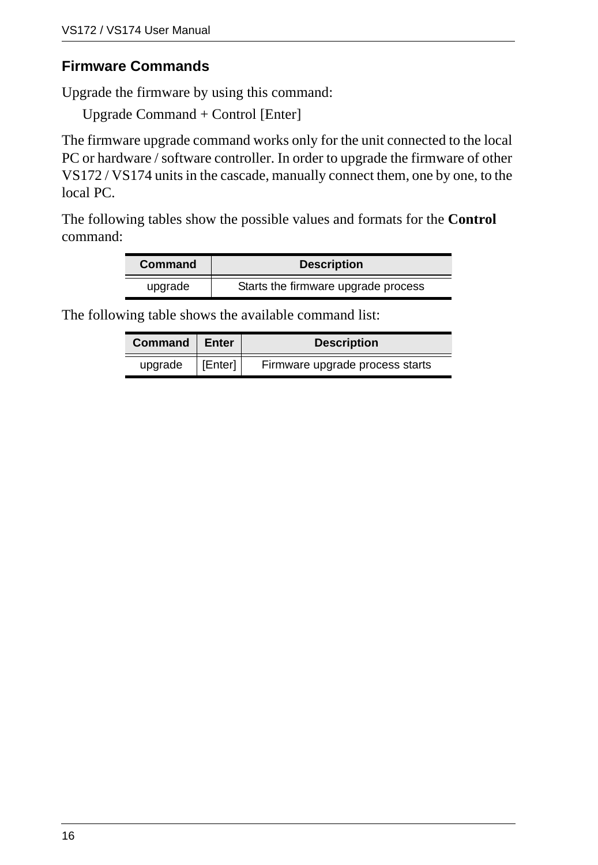#### **Firmware Commands**

Upgrade the firmware by using this command:

Upgrade Command + Control [Enter]

The firmware upgrade command works only for the unit connected to the local PC or hardware / software controller. In order to upgrade the firmware of other VS172 / VS174 units in the cascade, manually connect them, one by one, to the local PC.

The following tables show the possible values and formats for the **Control**  command:

| Command | <b>Description</b>                  |  |
|---------|-------------------------------------|--|
| upgrade | Starts the firmware upgrade process |  |

| Command   Enter |             | <b>Description</b>              |  |
|-----------------|-------------|---------------------------------|--|
| upgrade         | I [Enter] I | Firmware upgrade process starts |  |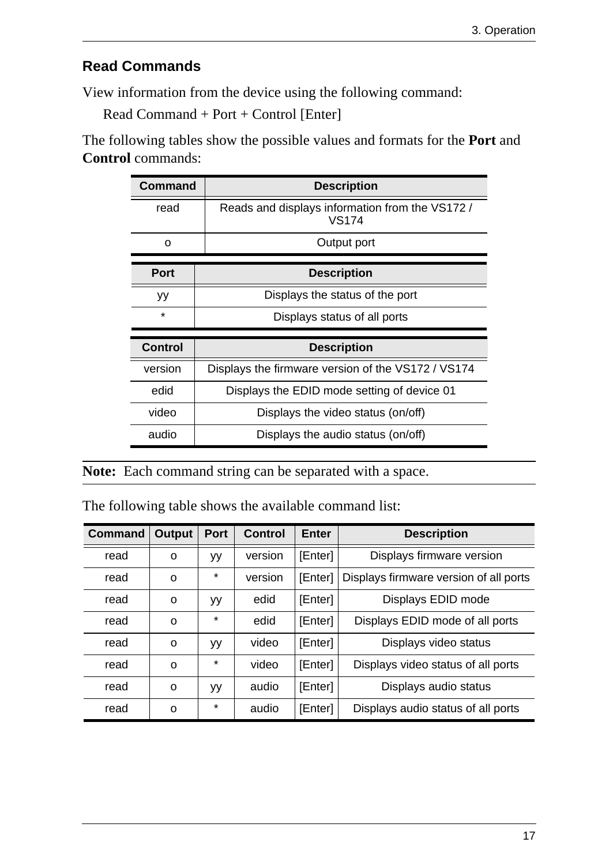#### **Read Commands**

View information from the device using the following command:

Read Command + Port + Control [Enter]

The following tables show the possible values and formats for the **Port** and **Control** commands:

| Command | <b>Description</b>                                             |  |  |  |
|---------|----------------------------------------------------------------|--|--|--|
| read    | Reads and displays information from the VS172/<br><b>VS174</b> |  |  |  |
| O       | Output port                                                    |  |  |  |
| Port    | <b>Description</b>                                             |  |  |  |
| yу      | Displays the status of the port                                |  |  |  |
| $\star$ | Displays status of all ports                                   |  |  |  |
| Control | <b>Description</b>                                             |  |  |  |
| version | Displays the firmware version of the VS172 / VS174             |  |  |  |
| edid    | Displays the EDID mode setting of device 01                    |  |  |  |
| video   | Displays the video status (on/off)                             |  |  |  |
| audio   | Displays the audio status (on/off)                             |  |  |  |

**Note:** Each command string can be separated with a space.

|  |  |  |  |  |  |  | The following table shows the available command list: |  |
|--|--|--|--|--|--|--|-------------------------------------------------------|--|
|--|--|--|--|--|--|--|-------------------------------------------------------|--|

| Command | Output   | Port    | Control | Enter   | <b>Description</b>                     |
|---------|----------|---------|---------|---------|----------------------------------------|
| read    | $\Omega$ | уу      | version | [Enter] | Displays firmware version              |
| read    | $\Omega$ | $\star$ | version | [Enter] | Displays firmware version of all ports |
| read    | $\circ$  | yу      | edid    | [Enter] | Displays EDID mode                     |
| read    | $\Omega$ | $\star$ | edid    | [Enter] | Displays EDID mode of all ports        |
| read    | $\Omega$ | yу      | video   | [Enter] | Displays video status                  |
| read    | $\Omega$ | $\star$ | video   | [Enter] | Displays video status of all ports     |
| read    | o        | yу      | audio   | [Enter] | Displays audio status                  |
| read    | $\circ$  | $\star$ | audio   | [Enter] | Displays audio status of all ports     |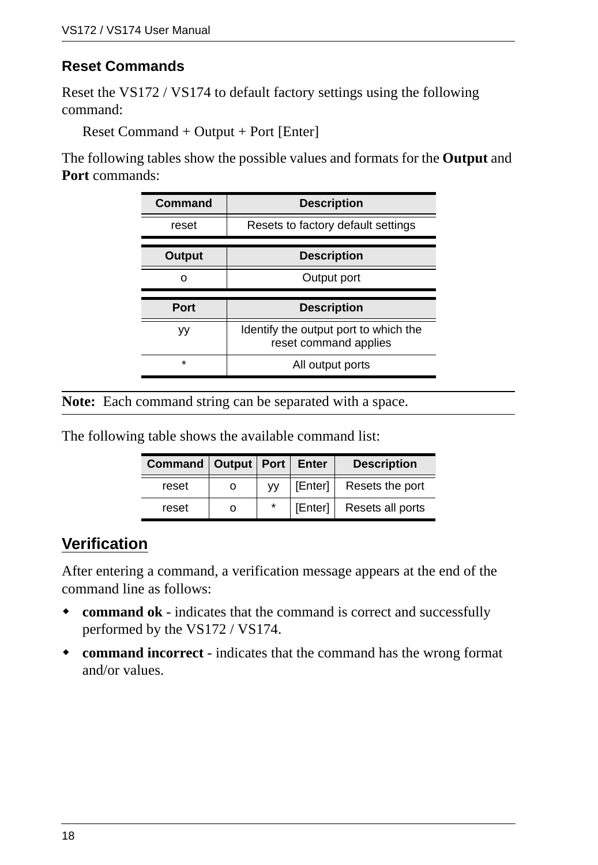#### <span id="page-26-0"></span>**Reset Commands**

Reset the VS172 / VS174 to default factory settings using the following command:

Reset Command + Output + Port [Enter]

The following tables show the possible values and formats for the **Output** and **Port** commands:

| Command | <b>Description</b>                                             |  |
|---------|----------------------------------------------------------------|--|
| reset   | Resets to factory default settings                             |  |
| Output  | <b>Description</b>                                             |  |
| ი       | Output port                                                    |  |
| Port    | <b>Description</b>                                             |  |
| ۷y      | Identify the output port to which the<br>reset command applies |  |
| $\star$ | All output ports                                               |  |

**Note:** Each command string can be separated with a space.

The following table shows the available command list:

| Command   Output   Port   Enter |   |         |         | <b>Description</b> |
|---------------------------------|---|---------|---------|--------------------|
| reset                           | ο | VV      | [Enter] | Resets the port    |
| reset                           | ο | $\star$ | [Enter] | Resets all ports   |

#### **Verification**

After entering a command, a verification message appears at the end of the command line as follows:

- **command ok** indicates that the command is correct and successfully performed by the VS172 / VS174.
- **command incorrect** indicates that the command has the wrong format and/or values.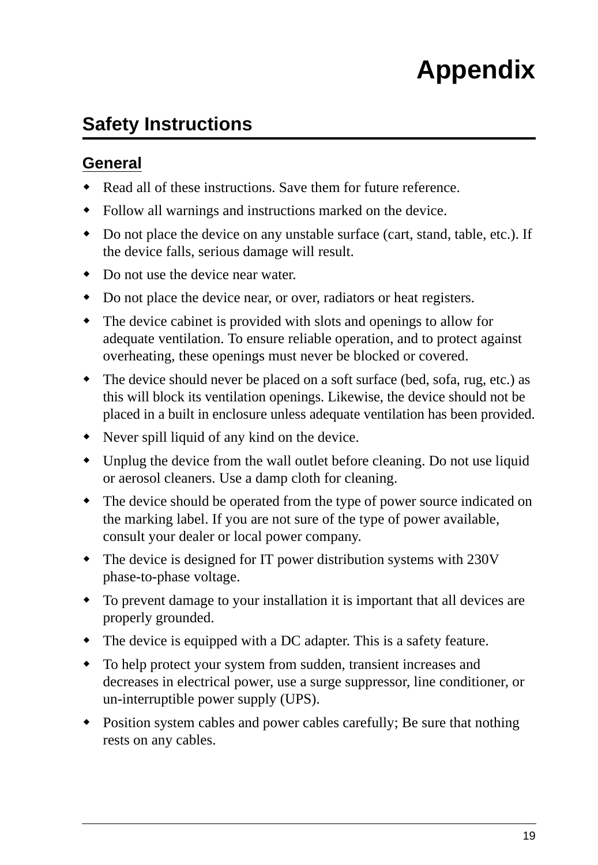# **Appendix**

## <span id="page-27-0"></span>**Safety Instructions**

#### **General**

- Read all of these instructions. Save them for future reference.
- Follow all warnings and instructions marked on the device.
- Do not place the device on any unstable surface (cart, stand, table, etc.). If the device falls, serious damage will result.
- Do not use the device near water.
- Do not place the device near, or over, radiators or heat registers.
- The device cabinet is provided with slots and openings to allow for adequate ventilation. To ensure reliable operation, and to protect against overheating, these openings must never be blocked or covered.
- The device should never be placed on a soft surface (bed, sofa, rug, etc.) as this will block its ventilation openings. Likewise, the device should not be placed in a built in enclosure unless adequate ventilation has been provided.
- Never spill liquid of any kind on the device.
- Unplug the device from the wall outlet before cleaning. Do not use liquid or aerosol cleaners. Use a damp cloth for cleaning.
- The device should be operated from the type of power source indicated on the marking label. If you are not sure of the type of power available, consult your dealer or local power company.
- The device is designed for IT power distribution systems with 230V phase-to-phase voltage.
- To prevent damage to your installation it is important that all devices are properly grounded.
- The device is equipped with a DC adapter. This is a safety feature.
- To help protect your system from sudden, transient increases and decreases in electrical power, use a surge suppressor, line conditioner, or un-interruptible power supply (UPS).
- Position system cables and power cables carefully; Be sure that nothing rests on any cables.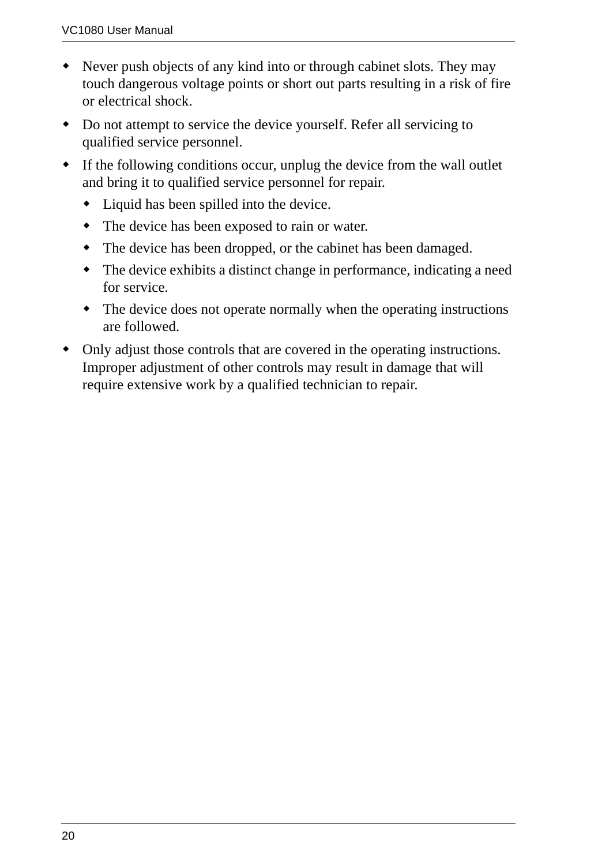- Never push objects of any kind into or through cabinet slots. They may touch dangerous voltage points or short out parts resulting in a risk of fire or electrical shock.
- Do not attempt to service the device yourself. Refer all servicing to qualified service personnel.
- If the following conditions occur, unplug the device from the wall outlet and bring it to qualified service personnel for repair.
	- Liquid has been spilled into the device.
	- The device has been exposed to rain or water.
	- The device has been dropped, or the cabinet has been damaged.
	- The device exhibits a distinct change in performance, indicating a need for service.
	- The device does not operate normally when the operating instructions are followed.
- Only adjust those controls that are covered in the operating instructions. Improper adjustment of other controls may result in damage that will require extensive work by a qualified technician to repair.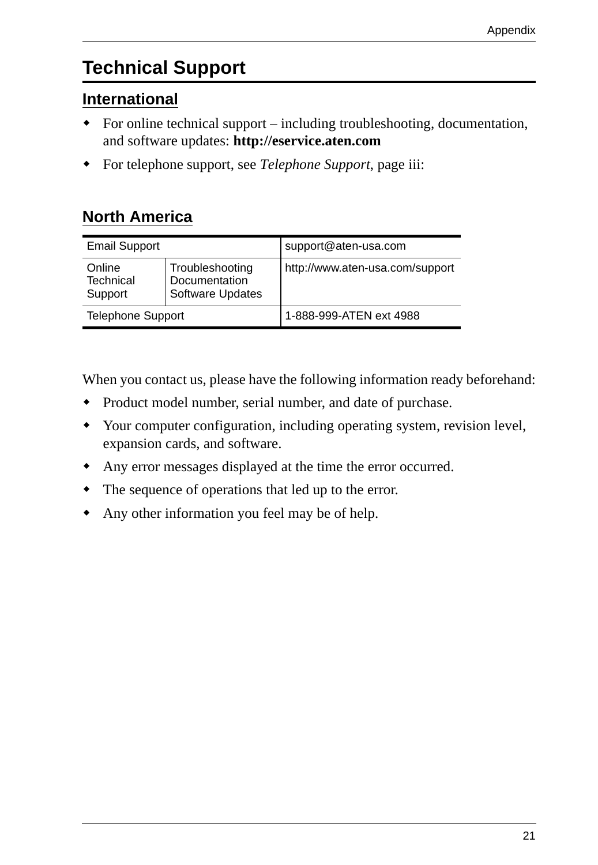# **Technical Support**

#### **International**

- For online technical support including troubleshooting, documentation, and software updates: **http://eservice.aten.com**
- For telephone support, see *[Telephone Support](#page-2-0)*, page iii:

### **North America**

| <b>Email Support</b>           |                                                                    | support@aten-usa.com            |
|--------------------------------|--------------------------------------------------------------------|---------------------------------|
| Online<br>Technical<br>Support | Troubleshooting<br><b>Documentation</b><br><b>Software Updates</b> | http://www.aten-usa.com/support |
| <b>Telephone Support</b>       |                                                                    | 1-888-999-ATEN ext 4988         |

When you contact us, please have the following information ready beforehand:

- Product model number, serial number, and date of purchase.
- Your computer configuration, including operating system, revision level, expansion cards, and software.
- Any error messages displayed at the time the error occurred.
- The sequence of operations that led up to the error.
- Any other information you feel may be of help.